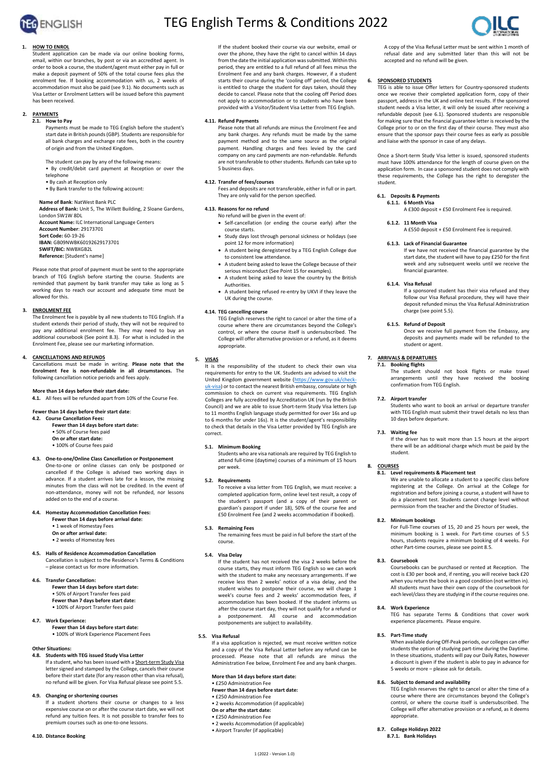

# **1. HOW TO ENROL**

Student application can be made via our online booking forms, email, within our branches, by post or via an accredited agent. In order to book a course, the student/agent must either pay in full or make a deposit payment of 50% of the total course fees plus the enrolment fee. If booking accommodation with us, 2 weeks of accommodation must also be paid (see 9.1). No documents such as Visa Letter or Enrolment Letters will be issued before this payment has been received.

# **2. PAYMENTS**

**2.1. How to Pay**

Payments must be made to TEG English before the student's start date in British pounds (GBP). Students are responsible for all bank charges and exchange rate fees, both in the country of origin and from the United Kingdom.

### The student can pay by any of the following means:

• By credit/debit card payment at Reception or over the telephone

- By cash at Reception only
- By Bank transfer to the following account:

#### **Name of Bank**: NatWest Bank PLC

**Address of Bank:** Unit 5, The Willett Building, 2 Sloane Gardens, London SW1W 8DL **Account Name:** ILC International Language Centers **Account Number**: 29173701

**Sort Code:** 60-19-26

**IBAN:** GB09NWBK60192629173701

**SWIFT/BIC:** NWBXGB2L

**Reference:** [Student's name]

Please note that proof of payment must be sent to the appropriate branch of TEG English before starting the course. Students are reminded that payment by bank transfer may take as long as 5 working days to reach our account and adequate time must be allowed for this.

# **3. ENROLMENT FEE**

The Enrolment fee is payable by all new students to TEG English. If a student extends their period of study, they will not be required to pay any additional enrolment fee. They may need to buy an additional coursebook (See point 8.3). For what is included in the Enrolment Fee, please see our marketing information.

# **4. CANCELLATIONS AND REFUNDS**

Cancellations must be made in writing. **Please note that the Enrolment Fee is non-refundable in all circumstances.** The following cancellation notice periods and fees apply.

**More than 14 days before their start date:**

**4.1.** All fees will be refunded apart from 10% of the Course Fee.

#### **Fewer than 14 days before their start date**: **4.2. Course Cancellation Fees:**

**Fewer than 14 days before start date:** 

- 50% of Course fees paid
- **On or after start date:**
- 100% of Course fees paid

**4.3. One-to-one/Online Class Cancellation or Postponement** One-to-one or online classes can only be postponed or cancelled if the College is advised two working days in advance. If a student arrives late for a lesson, the missing minutes from the class will not be credited. In the event of non-attendance, money will not be refunded, nor lessons added on to the end of a course.

# **4.4. Homestay Accommodation Cancellation Fees:**

**Fewer than 14 days before arrival date:**  • 1 week of Homestay Fees

- **On or after arrival date:**
- 2 weeks of Homestay fees

#### **4.5. Halls of Residence Accommodation Cancellation** Cancellation is subject to the Residence's Terms & Conditions – please contact us for more information.

#### **4.6. Transfer Cancellation:**

**Fewer than 14 days before start date:** 

- 50% of Airport Transfer fees paid **Fewer than 7 days before start date:**
- 100% of Airport Transfer fees paid

# **4.7. Work Experience:**

**Fewer than 14 days before start date:** 

# • 100% of Work Experience Placement Fees

# **Other Situations:**

**4.8. Students with TEG issued Study Visa Letter** If a student, who has been issued with a **Short-term Study Visa** letter signed and stamped by the College, cancels their course before their start date (for any reason other than visa refusal), no refund will be given. For Visa Refusal please see point 5.5.

# **4.9. Changing or shortening courses**

If a student shortens their course or changes to a less expensive course on or after the course start date, we will not refund any tuition fees. It is not possible to transfer fees to premium courses such as one-to-one lessons.

# TEG English Terms & Conditions 2022

If the student booked their course via our website, email or over the phone, they have the right to cancel within 14 days from the date the initial application was submitted. Within this period, they are entitled to a full refund of all fees minus the Enrolment Fee and any bank charges. However, if a student starts their course during the 'cooling off' period, the College is entitled to charge the student for days taken, should they decide to cancel. Please note that the cooling off Period does not apply to accommodation or to students who have been provided with a Visitor/Student Visa Letter from TEG English.

#### **4.11. Refund Payments**

Please note that all refunds are minus the Enrolment Fee and any bank charges. Any refunds must be made by the same payment method and to the same source as the original payment. Handling charges and fees levied by the card company on any card payments are non-refundable. Refunds are not transferable to other students. Refunds can take up to 5 business days.

#### **4.12. Transfer of fees/courses**

Fees and deposits are not transferable, either in full or in part. They are only valid for the person specified.

# **4.13. Reasons for no refund**

No refund will be given in the event of: • Self-cancellation (or ending the course early) after the course starts.

- Study days lost through personal sickness or holidays (see
- point 12 for more information) A student being deregistered by a TEG English College due to consistent low attendance.
- A student being asked to leave the College because of their serious misconduct (See Point 15 for examples).
- A student being asked to leave the country by the British Authorities.
- A student being refused re-entry by UKVI if they leave the UK during the course.

#### **4.14. TEG cancelling course**

TEG English reserves the right to cancel or alter the time of a course where there are circumstances beyond the College's control, or where the course itself is undersubscribed. The College will offer alternative provision or a refund, as it deems appropriate.

#### **5. VISAS**

It is the responsibility of the student to check their own visa requirements for entry to the UK. Students are advised to visit the United Kingdom government website [\(https://www.gov.uk/check](https://www.gov.uk/check-uk-visa)[uk-visa\)](https://www.gov.uk/check-uk-visa) or to contact the nearest British embassy, consulate or high commission to check on current visa requirements. TEG English Colleges are fully accredited by Accreditation UK (run by the British Council) and we are able to issue Short-term Study Visa letters (up to 11 months English language study permitted for over 16s and up to 6 months for under 16s). It is the student/agent's responsibility to check that details in the Visa Letter provided by TEG English are correct.

# **5.1. Minimum Booking**

Students who are visa nationals are required by TEG English to attend full-time (daytime) courses of a minimum of 15 hours per week.

# **5.2. Requirements**

To receive a visa letter from TEG English, we must receive: a completed application form, online level test result, a copy of the student's passport (and a copy of their parent or guardian's passport if under 18), 50% of the course fee and £50 Enrolment Fee (and 2 weeks accommodation if booked).

# **5.3. Remaining Fees**

The remaining fees must be paid in full before the start of the course.

# **5.4. Visa Delay**

If the student has not received the visa 2 weeks before the course starts, they must inform TEG English so we can work with the student to make any necessary arrangements. If we receive less than 2 weeks' notice of a visa delay, and the student wishes to postpone their course, we will charge 1 week's course fees and 2 weeks' accommodation fees, if accommodation has been booked. If the student informs us after the course start day, they will not qualify for a refund or a postponement. All course and accommodation postponements are subject to availability.

#### **5.5. Visa Refusal**

If a visa application is rejected, we must receive written notice and a copy of the Visa Refusal Letter before any refund can be processed. Please note that all refunds are minus the Administration Fee below, Enrolment Fee and any bank charges.

#### **More than 14 days before start date:**

• £250 Administration Fee **Fewer than 14 days before start date:** 

- £250 Administration Fee
- 2 weeks Accommodation (if applicable)
- **On or after the start date:**
- £250 Administration Fee
- 2 weeks Accommodation (if applicable)
- Airport Transfer (if applicable)

A copy of the Visa Refusal Letter must be sent within 1 month of refusal date and any submitted later than this will not be accepted and no refund will be given.

#### **6. SPONSORED STUDENTS**

TEG is able to issue Offer letters for Country-sponsored students once we receive their completed application form, copy of their passport, address in the UK and online test results. If the sponsored student needs a Visa letter, it will only be issued after receiving a refundable deposit (see 6.1). Sponsored students are responsible for making sure that the financial guarantee letter is received by the College prior to or on the first day of their course. They must also ensure that the sponsor pays their course fees as early as possible and liaise with the sponsor in case of any delays.

Once a Short-term Study Visa letter is issued, sponsored students must have 100% attendance for the length of course given on the application form. In case a sponsored student does not comply with these requirements, the College has the right to deregister the student.

# **6.1. Deposits & Payments**

**6.1.1. 6 Month Visa** A £300 deposit + £50 Enrolment Fee is required.

**6.1.2. 11 Month Visa**

A £550 deposit + £50 Enrolment Fee is required.

#### **6.1.3. Lack of Financial Guarantee**

If we have not received the financial guarantee by the start date, the student will have to pay £250 for the first week and any subsequent weeks until we receive the financial guarantee.

#### **6.1.4. Visa Refusal**

If a sponsored student has their visa refused and they follow our Visa Refusal procedure, they will have their deposit refunded minus the Visa Refusal Administration charge (see point 5.5).

#### **6.1.5. Refund of Deposit**

Once we receive full payment from the Embassy, any deposits and payments made will be refunded to the student or agent.

# **7. ARRIVALS & DEPARTURES**

**7.1. Booking flights** The student should not book flights or make travel arrangements until they have received the booking confirmation from TEG English.

#### **7.2. Airport transfer**

**7.3. Waiting fee**

student.

**8.2. Minimum bookings**

**8.3. Coursebook**

**8.4. Work Experience**

appropriate. **8.7. College Holidays 2022 8.7.1. Bank Holidays**

**8.1. Level requirements & Placement test**

**8. COURSES**

Students who want to book an arrival or departure transfer with TEG English must submit their travel details no less than 10 days before departure.

If the driver has to wait more than 1.5 hours at the airport there will be an additional charge which must be paid by the

We are unable to allocate a student to a specific class before registering at the College. On arrival at the College for registration and before joining a course, a student will have to do a placement test. Students cannot change level without permission from the teacher and the Director of Studies.

For Full-Time courses of 15, 20 and 25 hours per week, the minimum booking is 1 week. For Part-time courses of 5.5 hours, students require a minimum booking of 4 weeks. For

Coursebooks can be purchased or rented at Reception. The cost is £30 per book and, if renting, you will receive back £20 when you return the book in a good condition (not written in). All students must have their own copy of the coursebook for each level/class they are studying in if the course requires one.

TEG has separate Terms & Conditions that cover work

TEG English reserves the right to cancel or alter the time of a course where there are circumstances beyond the College's control, or where the course itself is undersubscribed. The College will offer alternative provision or a refund, as it deems

**8.5. Part-Time study** When available during Off-Peak periods, our colleges can offer students the option of studying part-time during the Daytime. In these situations, students will pay our Daily Rates, however a discount is given if the student is able to pay in advance for

other Part-time courses, please see point 8.5.

experience placements. Please enquire.

5 weeks or more – please ask for details. **8.6. Subject to demand and availability**